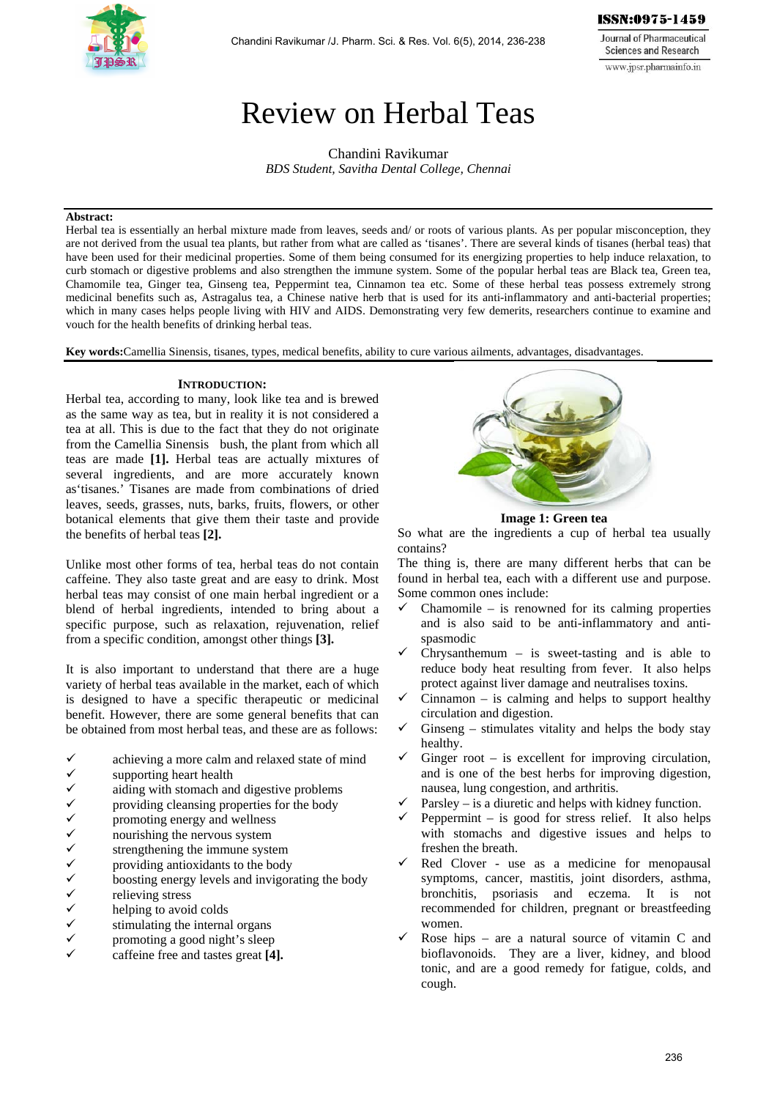

Journal of Pharmaceutical **Sciences and Research** www.jpsr.pharmainfo.in

# Review on Herbal Teas

Chandini Ravikumar *BDS Student, Savitha Dental College, Chennai* 

## **Abstract:**

Herbal tea is essentially an herbal mixture made from leaves, seeds and/ or roots of various plants. As per popular misconception, they are not derived from the usual tea plants, but rather from what are called as 'tisanes'. There are several kinds of tisanes (herbal teas) that have been used for their medicinal properties. Some of them being consumed for its energizing properties to help induce relaxation, to curb stomach or digestive problems and also strengthen the immune system. Some of the popular herbal teas are Black tea, Green tea, Chamomile tea, Ginger tea, Ginseng tea, Peppermint tea, Cinnamon tea etc. Some of these herbal teas possess extremely strong medicinal benefits such as, Astragalus tea, a Chinese native herb that is used for its anti-inflammatory and anti-bacterial properties; which in many cases helps people living with HIV and AIDS. Demonstrating very few demerits, researchers continue to examine and vouch for the health benefits of drinking herbal teas.

**Key words:**Camellia Sinensis, tisanes, types, medical benefits, ability to cure various ailments, advantages, disadvantages.

## **INTRODUCTION:**

Herbal tea, according to many, look like tea and is brewed as the same way as tea, but in reality it is not considered a tea at all. This is due to the fact that they do not originate from the Camellia Sinensis bush, the plant from which all teas are made **[1].** Herbal teas are actually mixtures of several ingredients, and are more accurately known as'tisanes.' Tisanes are made from combinations of dried leaves, seeds, grasses, nuts, barks, fruits, flowers, or other botanical elements that give them their taste and provide the benefits of herbal teas **[2].** 

Unlike most other forms of tea, herbal teas do not contain caffeine. They also taste great and are easy to drink. Most herbal teas may consist of one main herbal ingredient or a blend of herbal ingredients, intended to bring about a specific purpose, such as relaxation, rejuvenation, relief from a specific condition, amongst other things **[3].** 

It is also important to understand that there are a huge variety of herbal teas available in the market, each of which is designed to have a specific therapeutic or medicinal benefit. However, there are some general benefits that can be obtained from most herbal teas, and these are as follows:

- →<br>
achieving a more calm and relaxed state of mind<br>
→<br>
aiding with stomach and digestive problems<br>
→<br>
providing cleansing properties for the body<br>
<br>
→<br>
nourishing the nervous system<br>
<br>
strengthening the immune system<br>
→<br>
- supporting heart health
- aiding with stomach and digestive problems
- providing cleansing properties for the body
- promoting energy and wellness
- nourishing the nervous system
- strengthening the immune system
- providing antioxidants to the body
- boosting energy levels and invigorating the body
- relieving stress
- helping to avoid colds
- stimulating the internal organs
- promoting a good night's sleep
- caffeine free and tastes great **[4].**



**Image 1: Green tea** 

So what are the ingredients a cup of herbal tea usually contains?

The thing is, there are many different herbs that can be found in herbal tea, each with a different use and purpose. Some common ones include:

- Chamomile is renowned for its calming properties and is also said to be anti-inflammatory and antispasmodic
- Chrysanthemum is sweet-tasting and is able to reduce body heat resulting from fever. It also helps protect against liver damage and neutralises toxins.
- Cinnamon is calming and helps to support healthy circulation and digestion.
- Ginseng stimulates vitality and helps the body stay healthy.
- Ginger root is excellent for improving circulation, and is one of the best herbs for improving digestion, nausea, lung congestion, and arthritis.
- Parsley is a diuretic and helps with kidney function.
- Peppermint is good for stress relief. It also helps with stomachs and digestive issues and helps to freshen the breath.
- Red Clover use as a medicine for menopausal symptoms, cancer, mastitis, joint disorders, asthma, bronchitis, psoriasis and eczema. It is not recommended for children, pregnant or breastfeeding women.
- Rose hips are a natural source of vitamin C and bioflavonoids. They are a liver, kidney, and blood tonic, and are a good remedy for fatigue, colds, and cough.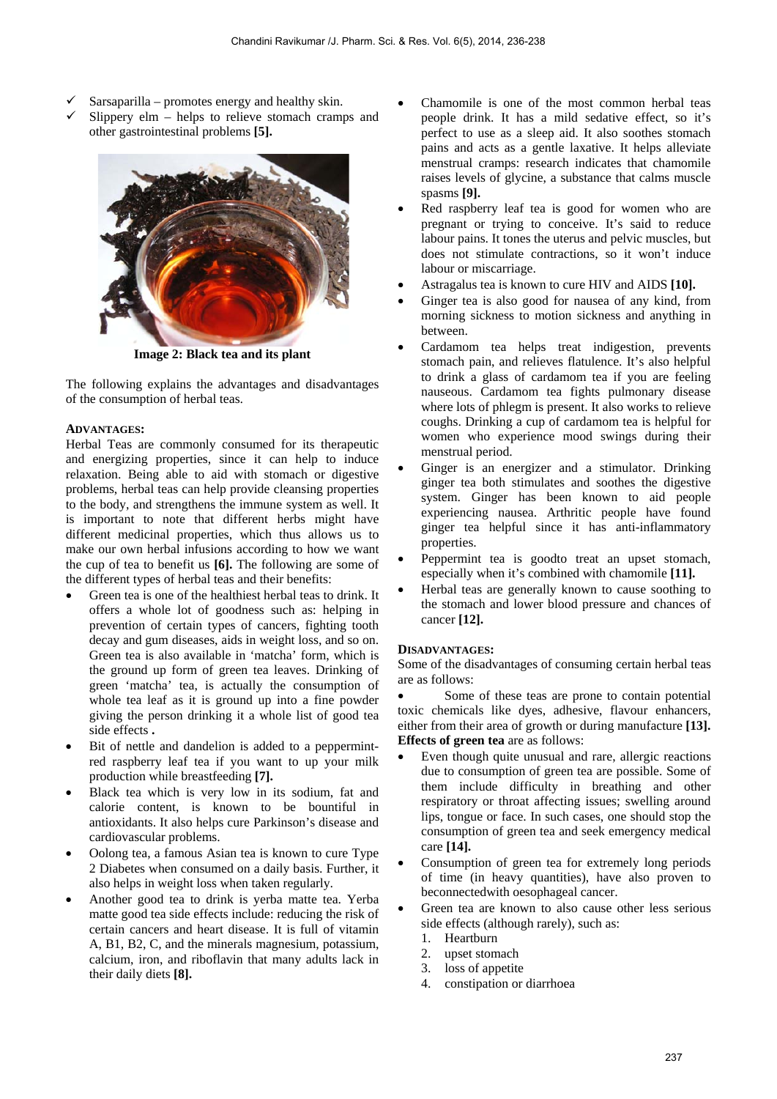- Sarsaparilla promotes energy and healthy skin.
- Slippery elm helps to relieve stomach cramps and other gastrointestinal problems **[5].**



**Image 2: Black tea and its plant** 

The following explains the advantages and disadvantages of the consumption of herbal teas.

## **ADVANTAGES:**

Herbal Teas are commonly consumed for its therapeutic and energizing properties, since it can help to induce relaxation. Being able to aid with stomach or digestive problems, herbal teas can help provide cleansing properties to the body, and strengthens the immune system as well. It is important to note that different herbs might have different medicinal properties, which thus allows us to make our own herbal infusions according to how we want the cup of tea to benefit us **[6].** The following are some of the different types of herbal teas and their benefits:

- Green tea is one of the healthiest herbal teas to drink. It offers a whole lot of goodness such as: helping in prevention of certain types of cancers, fighting tooth decay and gum diseases, aids in weight loss, and so on. Green tea is also available in 'matcha' form, which is the ground up form of green tea leaves. Drinking of green 'matcha' tea, is actually the consumption of whole tea leaf as it is ground up into a fine powder giving the person drinking it a whole list of good tea side effects **.**
- Bit of nettle and dandelion is added to a peppermintred raspberry leaf tea if you want to up your milk production while breastfeeding **[7].**
- Black tea which is very low in its sodium, fat and calorie content, is known to be bountiful in antioxidants. It also helps cure Parkinson's disease and cardiovascular problems.
- Oolong tea, a famous Asian tea is known to cure Type 2 Diabetes when consumed on a daily basis. Further, it also helps in weight loss when taken regularly.
- Another good tea to drink is yerba matte tea. Yerba matte good tea side effects include: reducing the risk of certain cancers and heart disease. It is full of vitamin A, B1, B2, C, and the minerals magnesium, potassium, calcium, iron, and riboflavin that many adults lack in their daily diets **[8].**
- Chamomile is one of the most common herbal teas people drink. It has a mild sedative effect, so it's perfect to use as a sleep aid. It also soothes stomach pains and acts as a gentle laxative. It helps alleviate menstrual cramps: research indicates that chamomile raises levels of glycine, a substance that calms muscle spasms **[9].**
- Red raspberry leaf tea is good for women who are pregnant or trying to conceive. It's said to reduce labour pains. It tones the uterus and pelvic muscles, but does not stimulate contractions, so it won't induce labour or miscarriage.
- Astragalus tea is known to cure HIV and AIDS **[10].**
- Ginger tea is also good for nausea of any kind, from morning sickness to motion sickness and anything in between.
- Cardamom tea helps treat indigestion, prevents stomach pain, and relieves flatulence. It's also helpful to drink a glass of cardamom tea if you are feeling nauseous. Cardamom tea fights pulmonary disease where lots of phlegm is present. It also works to relieve coughs. Drinking a cup of cardamom tea is helpful for women who experience mood swings during their menstrual period.
- Ginger is an energizer and a stimulator. Drinking ginger tea both stimulates and soothes the digestive system. Ginger has been known to aid people experiencing nausea. Arthritic people have found ginger tea helpful since it has anti-inflammatory properties.
- Peppermint tea is goodto treat an upset stomach, especially when it's combined with chamomile **[11].**
- Herbal teas are generally known to cause soothing to the stomach and lower blood pressure and chances of cancer **[12].**

# **DISADVANTAGES:**

Some of the disadvantages of consuming certain herbal teas are as follows:

 Some of these teas are prone to contain potential toxic chemicals like dyes, adhesive, flavour enhancers, either from their area of growth or during manufacture **[13]. Effects of green tea** are as follows:

- Even though quite unusual and rare, allergic reactions due to consumption of green tea are possible. Some of them include difficulty in breathing and other respiratory or throat affecting issues; swelling around lips, tongue or face. In such cases, one should stop the consumption of green tea and seek emergency medical care **[14].**
- Consumption of green tea for extremely long periods of time (in heavy quantities), have also proven to beconnectedwith oesophageal cancer.
- Green tea are known to also cause other less serious side effects (although rarely), such as:
	- 1. Heartburn
	- 2. upset stomach
	- 3. loss of appetite
	- 4. constipation or diarrhoea